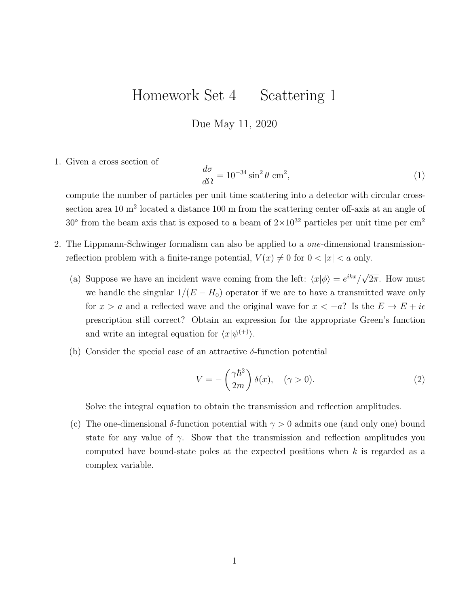## Homework Set 4 — Scattering 1

Due May 11, 2020

1. Given a cross section of

$$
\frac{d\sigma}{d\Omega} = 10^{-34} \sin^2 \theta \text{ cm}^2,\tag{1}
$$

compute the number of particles per unit time scattering into a detector with circular crosssection area 10 m<sup>2</sup> located a distance 100 m from the scattering center off-axis at an angle of 30 $\degree$  from the beam axis that is exposed to a beam of  $2 \times 10^{32}$  particles per unit time per cm<sup>2</sup>

- 2. The Lippmann-Schwinger formalism can also be applied to a one-dimensional transmissionreflection problem with a finite-range potential,  $V(x) \neq 0$  for  $0 < |x| < a$  only.
	- (a) Suppose we have an incident wave coming from the left:  $\langle x|\phi \rangle = e^{ikx}/\phi$ √  $2\pi$ . How must we handle the singular  $1/(E - H_0)$  operator if we are to have a transmitted wave only for  $x > a$  and a reflected wave and the original wave for  $x < -a$ ? Is the  $E \to E + i\epsilon$ prescription still correct? Obtain an expression for the appropriate Green's function and write an integral equation for  $\langle x|\psi^{(+)}\rangle$ .
	- (b) Consider the special case of an attractive  $\delta$ -function potential

$$
V = -\left(\frac{\gamma \hbar^2}{2m}\right) \delta(x), \quad (\gamma > 0). \tag{2}
$$

Solve the integral equation to obtain the transmission and reflection amplitudes.

(c) The one-dimensional  $\delta$ -function potential with  $\gamma > 0$  admits one (and only one) bound state for any value of  $\gamma$ . Show that the transmission and reflection amplitudes you computed have bound-state poles at the expected positions when  $k$  is regarded as a complex variable.